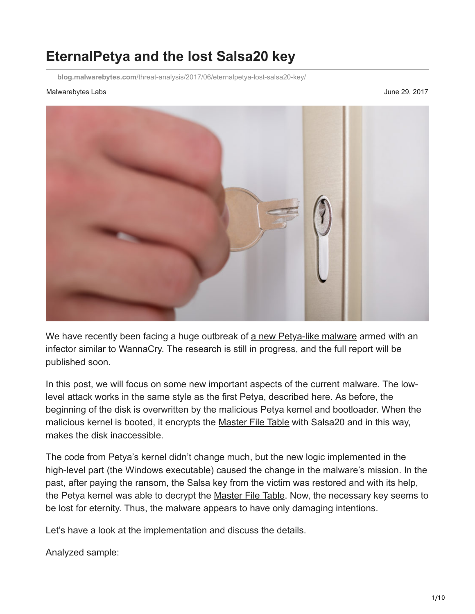# **EternalPetya and the lost Salsa20 key**

**blog.malwarebytes.com**[/threat-analysis/2017/06/eternalpetya-lost-salsa20-key/](https://blog.malwarebytes.com/threat-analysis/2017/06/eternalpetya-lost-salsa20-key/)

#### Malwarebytes Labs **June 29, 2017**



We have recently been facing a huge outbreak of [a new Petya-like malware](https://blog.malwarebytes.com/cybercrime/2017/06/petya-esque-ransomware-is-spreading-across-the-world/) armed with an infector similar to WannaCry. The research is still in progress, and the full report will be published soon.

In this post, we will focus on some new important aspects of the current malware. The lowlevel attack works in the same style as the first Petya, described [here.](https://blog.malwarebytes.com/threat-analysis/2016/04/petya-ransomware/) As before, the beginning of the disk is overwritten by the malicious Petya kernel and bootloader. When the malicious kernel is booted, it encrypts the [Master File Table](https://en.wikipedia.org/wiki/NTFS#Master_File_Table) with Salsa20 and in this way, makes the disk inaccessible.

The code from Petya's kernel didn't change much, but the new logic implemented in the high-level part (the Windows executable) caused the change in the malware's mission. In the past, after paying the ransom, the Salsa key from the victim was restored and with its help, the Petya kernel was able to decrypt the [Master File Table.](https://en.wikipedia.org/wiki/NTFS#Master_File_Table) Now, the necessary key seems to be lost for eternity. Thus, the malware appears to have only damaging intentions.

Let's have a look at the implementation and discuss the details.

Analyzed sample: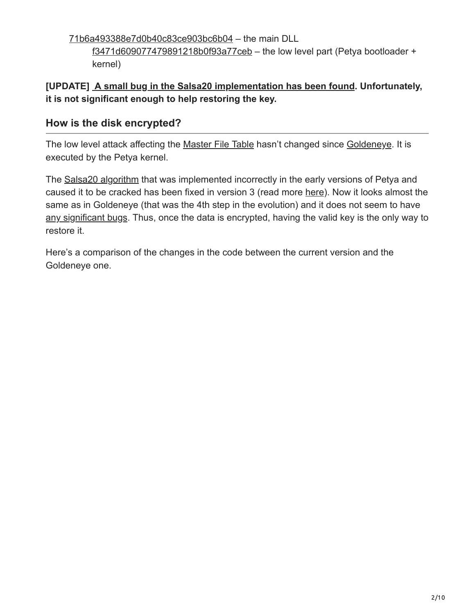[71b6a493388e7d0b40c83ce903bc6b04](https://www.virustotal.com/en/file/027cc450ef5f8c5f653329641ec1fed91f694e0d229928963b30f6b0d7d3a745/analysis/) – the main DLL

[f3471d609077479891218b0f93a77ceb](https://virustotal.com/en/file/b5d2ad3c7758f58aa329243af4ce4a906771a1a199210ed0c61f82d47edb3b1d/analysis/1498584989/) – the low level part (Petya bootloader + kernel)

### **[UPDATE] [A small bug in the Salsa20 implementation has been found.](https://twitter.com/hasherezade/status/881846324437581824) Unfortunately, it is not significant enough to help restoring the key.**

### **How is the disk encrypted?**

The low level attack affecting the [Master File Table](https://en.wikipedia.org/wiki/NTFS#Master_File_Table) hasn't changed since [Goldeneye](https://blog.malwarebytes.com/threat-analysis/2016/12/goldeneye-ransomware-the-petyamischa-combo-rebranded/). It is executed by the Petya kernel.

The [Salsa20 algorithm](https://en.wikipedia.org/wiki/Salsa20) that was implemented incorrectly in the early versions of Petya and caused it to be cracked has been fixed in version 3 (read more [here\)](https://blog.malwarebytes.com/threat-analysis/2016/07/third-time-unlucky-improved-petya-is-out/). Now it looks almost the same as in Goldeneye (that was the 4th step in the evolution) and it does not seem to have [any significant bugs](https://twitter.com/hasherezade/status/881855440275070981). Thus, once the data is encrypted, having the valid key is the only way to restore it.

Here's a comparison of the changes in the code between the current version and the Goldeneye one.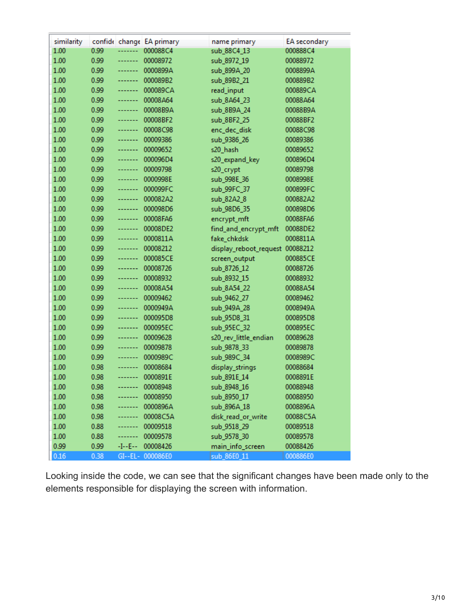| similarity |      |            | confide change EA primary | name primary                    | EA secondary |
|------------|------|------------|---------------------------|---------------------------------|--------------|
| 1.00       | 0.99 | -------    | 000088C4                  | sub_88C4_13                     | 000888C4     |
| 1.00       | 0.99 | -------    | 00008972                  | sub_8972_19                     | 00088972     |
| 1.00       | 0.99 | -------    | 0000899A                  | sub_899A_20                     | 0008899A     |
| 1.00       | 0.99 | -------    | 000089B2                  | sub_89B2_21                     | 000889B2     |
| 1.00       | 0.99 | -----      | 000089CA                  | read_input                      | 000889CA     |
| 1.00       | 0.99 | -------    | 00008A64                  | sub_8A64_23                     | 00088A64     |
| 1.00       | 0.99 | -----      | 00008B9A                  | sub_8B9A_24                     | 00088B9A     |
| 1.00       | 0.99 | -------    | 00008BF2                  | sub_8BF2_25                     | 00088BF2     |
| 1.00       | 0.99 | -------    | 00008C98                  | enc_dec_disk                    | 00088C98     |
| 1.00       | 0.99 | -------    | 00009386                  | sub_9386_26                     | 00089386     |
| 1.00       | 0.99 | -------    | 00009652                  | s20_hash                        | 00089652     |
| 1.00       | 0.99 | --------   | 000096D4                  | s20_expand_key                  | 000896D4     |
| 1.00       | 0.99 | -------    | 00009798                  | s20_crypt                       | 00089798     |
| 1.00       | 0.99 | --------   | 0000998E                  | sub_998E_36                     | 0008998E     |
| 1.00       | 0.99 | -------    | 000099FC                  | sub_99FC_37                     | 000899FC     |
| 1.00       | 0.99 | -------    | 000082A2                  | sub_82A2_8                      | 000882A2     |
| 1.00       | 0.99 | -------    | 000098D6                  | sub_98D6_35                     | 000898D6     |
| 1.00       | 0.99 | -------    | 00008FA6                  | encrypt_mft                     | 00088FA6     |
| 1.00       | 0.99 | -------    | 00008DE2                  | find_and_encrypt_mft            | 00088DE2     |
| 1.00       | 0.99 | -------    | 0000811A                  | fake_chkdsk                     | 0008811A     |
| 1.00       | 0.99 | -------    | 00008212                  | display_reboot_request 00088212 |              |
| 1.00       | 0.99 | -------    | 000085CE                  | screen_output                   | 000885CE     |
| 1.00       | 0.99 | -----      | 00008726                  | sub_8726_12                     | 00088726     |
| 1.00       | 0.99 | -------    | 00008932                  | sub_8932_15                     | 00088932     |
| 1.00       | 0.99 | -------    | 00008A54                  | sub_8A54_22                     | 00088A54     |
| 1.00       | 0.99 | -------    | 00009462                  | sub_9462_27                     | 00089462     |
| 1.00       | 0.99 | -------    | 0000949A                  | sub_949A_28                     | 0008949A     |
| 1.00       | 0.99 | -------    | 000095D8                  | sub_95D8_31                     | 000895D8     |
| 1.00       | 0.99 | --------   | 000095EC                  | sub_95EC_32                     | 000895EC     |
| 1.00       | 0.99 | --------   | 00009628                  | s20_rev_little_endian           | 00089628     |
| 1.00       | 0.99 | -------    | 00009878                  | sub_9878_33                     | 00089878     |
| 1.00       | 0.99 | -----      | 0000989C                  | sub_989C_34                     | 0008989C     |
| 1.00       | 0.98 | -------    | 00008684                  | display_strings                 | 00088684     |
| 1.00       | 0.98 | -------    | 0000891E                  | sub_891E_14                     | 0008891E     |
| 1.00       | 0.98 | -------    | 00008948                  | sub_8948_16                     | 00088948     |
| 1.00       | 0.98 | -------    | 00008950                  | sub_8950_17                     | 00088950     |
| 1.00       | 0.98 | -------    | 0000896A                  | sub_896A_18                     | 0008896A     |
| 1.00       | 0.98 | -------    | 00008C5A                  | disk_read_or_write              | 00088C5A     |
| 1.00       | 0.88 | -------    | 00009518                  | sub_9518_29                     | 00089518     |
| 1.00       | 0.88 | -------    | 00009578                  | sub_9578_30                     | 00089578     |
| 0.99       | 0.99 | $-I - E -$ | 00008426                  | main_info_screen                | 00088426     |
| 0.16       | 0.38 |            | GI--EL- 000086E0          | sub_86E0_11                     | 000886E0     |

Looking inside the code, we can see that the significant changes have been made only to the elements responsible for displaying the screen with information.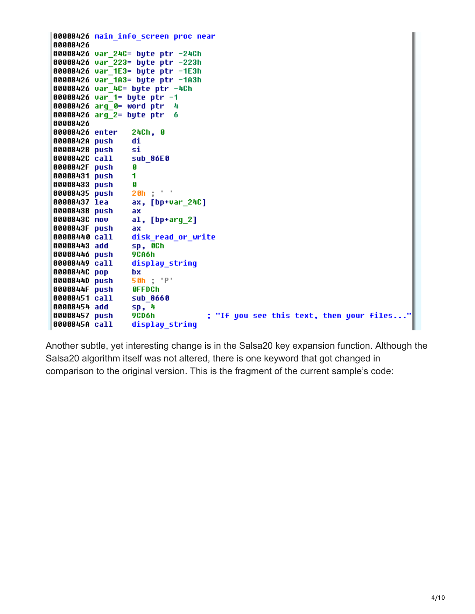```
00008426 main info screen proc near
00008426
00008426 var 24C= byte ptr -24Ch
00008426 var 223= byte ptr -223h
00008426 var 1E3= byte ptr -1E3h
00008426 var_1A3= byte ptr -1A3h
00008426 var 4C= byte ptr -4Ch
00008426 var_1= byte ptr -1
00008426 arg_0= word ptr
                           4
00008426 arg 2= byte ptr
                           6
00008426
00008426 enter
                 24Ch, 0
0000842A push
                 di
0000842B push
                 si
0000842C call
                 sub 86E0
0000842F push
                 Ø
00008431 push
                 1
00008433 push
                 Ø
00008435 push
                 20h ;
00008437 lea
                 ax, [bp+var_24C]
0000843B push
                 ax
0000843C mov
                 al, [bp+arg_2]0000843F push
                 ax
                 disk read or write
00008440 call
00008443 add
                 sp, OCh
00008446 push
                 9CA6h
00008449 call
                 display string
0000844C pop
                 bx
                 50h ; 'P'
0000844D push
0000844F push
                 OFFDCh
00008451 call
                 sub 8660
00008454 add
                 sp, 4
                                  ; "If you see this text, then your files..."
00008457 push
                 9CD6h
0000845A call
                 display string
```
Another subtle, yet interesting change is in the Salsa20 key expansion function. Although the Salsa20 algorithm itself was not altered, there is one keyword that got changed in comparison to the original version. This is the fragment of the current sample's code: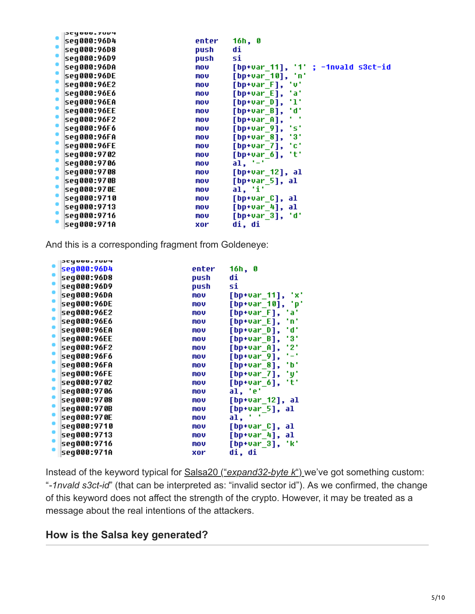| JCYUUU.7UV4                               |       |                                    |
|-------------------------------------------|-------|------------------------------------|
| ۰<br> seq000:96D4                         | enter | 16h, 0                             |
| ۰<br> seq000:96D8                         | push  | di                                 |
| ۰<br> seg000:96D9                         | push  | si                                 |
| $\bullet$<br> seq000:96DA                 | mov   | [bp+var_11], '1' ; -1nvald s3ct-id |
| seq000:96DE<br>$\bullet$                  | mov   | [bp+var_10], 'n'                   |
| seq000:96E2                               | mov   | [bp+var_F], 'v'                    |
| ۰<br> seq000:96E6<br>$\ddot{\phantom{0}}$ | MOV   | [bp+var_E], 'a'                    |
| seq000:96EA<br>$\hat{\phantom{a}}$        | mov   | [bp+var_D], 'l'                    |
| seq000:96EE                               | mov   | [bp+var_B], 'd'                    |
| ۰<br> seq000:96F2                         | mov   | $[$ bp+var_A],                     |
| ö<br> seq000:96F6                         | mov   | "s"<br>$[$ bp+var $_9]$ ,          |
| ¢<br> seq000:96FA                         | mov   | - 31<br>$[$ bp+var $_8]$ ,         |
| ۰<br> seq000:96FE<br>$\bullet$            | MOV   | [bp+var_7], 'c'                    |
| seq000:9702                               | mov   | $[$ bp+var_6],<br>"t"              |
| ۰<br>seq000:9706                          | mov   | $a1, '-'$                          |
| seq000:9708                               | MOV   | $[bp+var_12], a1$                  |
| $\bullet$<br> seq000:970B                 | mov   | $[bp+var_5], a1$                   |
| ۰<br> seq000:970E                         | MOV   | al, 'i'                            |
| $\bullet$<br> seq000:9710                 | mov   | $[bp+var_c],$ al                   |
| ö<br>seq000:9713                          | mov   | $[bp+var_4], al$                   |
| seq000:9716                               | MOV   | [bp+var_3], 'd'                    |
| seq000:971A                               | xor   | di, di                             |

And this is a corresponding fragment from Goldeneye:

| SCYDDA,IOD4 |       |                           |
|-------------|-------|---------------------------|
| seg000:96D4 | enter | 16h, 0                    |
| seg000:96D8 | push  | di                        |
| seq000:96D9 | push  | si                        |
| seq000:96DA | mov   | [bp+var_11] <b>,</b>      |
| seq000:96DE | mov   | [bp+var_10], 'p'          |
| seq000:96E2 | mov   | [bp+var_F],<br>'a'        |
| seq000:96E6 | mov   | 'n'<br>$[$ bp+var $E$ ],  |
| seq000:96EA | mov   | [bp+var_D],<br>'d'        |
| seq000:96EE | mov   | '3'<br>$[$ bp+var $B$ ],  |
| seq000:96F2 | mov   | '2'<br>[bp+var_A],        |
| seq000:96F6 | mov   | ۰.,<br>[bp+var_9],        |
| seq000:96FA | mov   | ٠ь٠<br>$[$ bp+var $_8]$ , |
| seq000:96FE | mov   | [bp+var_7],<br>'y'        |
| seg000:9702 | mov   | $[$ bp+var_6],<br>'t'     |
| seq000:9706 | mov   | al, 'e'                   |
| seg000:9708 | mov   | [bp+var_12], al           |
| seq000:970B | mov   | [bp+var_5], al            |
| seg000:970E | mov   | al.                       |
| seg000:9710 | mov   | [bp+var_C], al            |
| seq000:9713 | mov   | [bp+var_4], al            |
| seg000:9716 | mov   | [bp+var_3],<br>'k'        |
| seq000:971A | xor   | di, di                    |
|             |       |                           |

Instead of the keyword typical for Salsa20 ("*[expand32-byte k](https://github.com/alexwebr/salsa20/blob/master/salsa20.c#L121)*") we've got something custom: "*-1nvald s3ct-id*" (that can be interpreted as: "invalid sector id"). As we confirmed, the change of this keyword does not affect the strength of the crypto. However, it may be treated as a message about the real intentions of the attackers.

#### **How is the Salsa key generated?**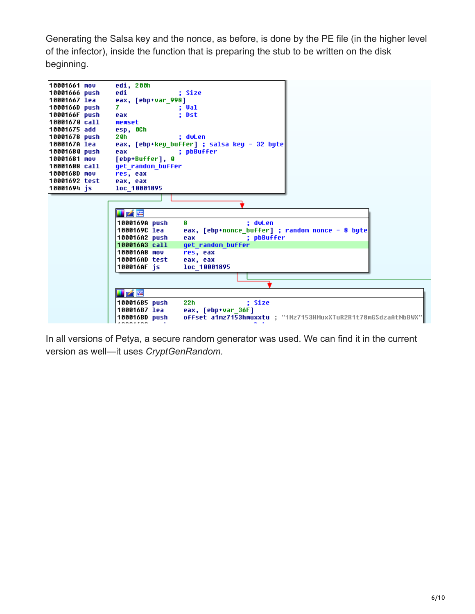Generating the Salsa key and the nonce, as before, is done by the PE file (in the higher level of the infector), inside the function that is preparing the stub to be written on the disk beginning.

| 10001661 mov  | edi, 200h                                                                      |
|---------------|--------------------------------------------------------------------------------|
| 10001666 push | edi<br>: Size                                                                  |
| 10001667 lea  | eax, [ebp+var 998]                                                             |
| 1000166D push | 7<br>: Val                                                                     |
| 1000166F push | : Dst<br>eax                                                                   |
| 10001670 call | memset                                                                         |
| 10001675 add  | esp, OCh                                                                       |
| 10001678 push | 20h<br>: dwLen                                                                 |
| 1000167A lea  | eax, [ebp+key buffer] ; salsa key - 32 byte                                    |
| 10001680 push | : pbBuffer<br>eax                                                              |
| 10001681 mov  | [ebp+Buffer], 0                                                                |
| 10001688 call | get random buffer                                                              |
| 1000168D mov  | res, eax                                                                       |
| 10001692 test | eax, eax                                                                       |
| 10001694 is   | loc 10001895                                                                   |
|               |                                                                                |
|               |                                                                                |
|               | i A F                                                                          |
|               | 1000169A push<br>8<br>; dwLen                                                  |
|               | eax, [ebp+nonce_buffer] ; random nonce - 8 byte <br>1000169C lea               |
|               | 100016A2 push<br>; pbBuffer<br>eax                                             |
|               | 100016A3 call<br>get random buffer                                             |
|               | 100016A8 mov<br>res, eax                                                       |
|               | 100016AD test<br>eax, eax                                                      |
|               | 100016AF is<br>loc 10001895                                                    |
|               |                                                                                |
|               |                                                                                |
|               | i Ar                                                                           |
|               |                                                                                |
|               | : Size<br>100016B5 push<br>22h                                                 |
|               | 100016B7 lea<br>eax, [ebp+var 36F]                                             |
|               | offset a1mz7153hmuxxtu ; "1Mz7153HMuxXTuR2R1t78mGSdzaAtNbBWX"<br>100016BD push |
|               | 1000000000                                                                     |

In all versions of Petya, a secure random generator was used. We can find it in the current version as well—it uses *CryptGenRandom.*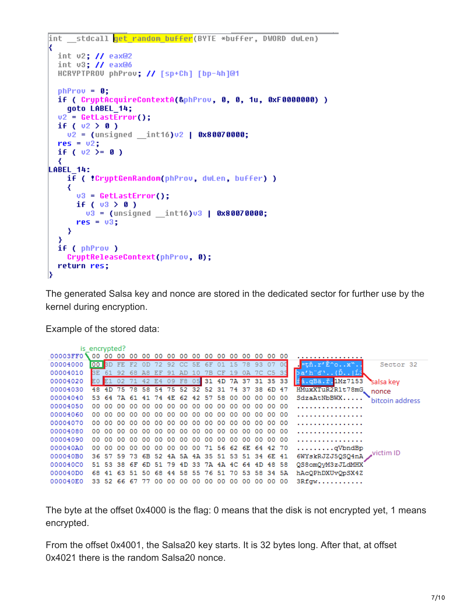```
int stdcall get random buffer(BYTE *buffer, DWORD dwLen)
K
  int v2; // eax@2
  int v3: // eax@6
  HCRYPTPROU phProu; // [sp+Ch] [bp-4h]@1
  phProv = 0;
  if ( CruptAcquireContextA(&phProv, 0, 0, 1u, 0xF0000000) )
    goto LABEL 14;
  v2 = \text{GetLastError}if (v2 > 0)v2 = (unsigned int16)v2 + 0 \times 80070000;res = v2;if ( v2 > = 0 )
  ₹
LABEL 14:
    if ( 'CryptGenRandom(phProv, dwLen, buffer) )
    ₹
      v3 = \text{GetLastError}();
      if (v3 \n\geq 0)v3 = (unsigned _int16)v3 | 0x80070000;
      res = v3;₹
  Y
  if ( phProv )
    CryptReleaseContext(phProv, 0);
  return res;
13
```
The generated Salsa key and nonce are stored in the dedicated sector for further use by the kernel during encryption.

Example of the stored data:

| is encrypted? |           |        |       |          |     |       |     |                                  |     |     |                |     |     |                                                 |    |                                  |
|---------------|-----------|--------|-------|----------|-----|-------|-----|----------------------------------|-----|-----|----------------|-----|-----|-------------------------------------------------|----|----------------------------------|
| 00003FF0      | 00        |        | 00    | 00       |     |       |     | 00 00 00 00 00 00 00 00 00       |     |     |                |     |     | 00 00 00                                        |    | .                                |
| 00004000      |           |        |       |          |     |       |     | 00 BD FE F2 0D 72 92 CC 5E 6F 01 |     |     | 15 78          |     |     | 93 07                                           | ಂ  | $=$ tň.r' $E$ ^ox".<br>Sector 32 |
| 00004010      | <b>BE</b> |        |       | 92 68 A8 |     | - ਸਾਸ | -91 | AD.                              | 1 O | 7B. | 19             |     |     | 7C C5 33                                        |    | $\verb ba'h'd". .$ {D   L3       |
| 00004020      |           |        |       |          |     |       |     |                                  |     |     |                |     |     | E0 E1 02 71 42 E4 09 F8 05 31 4D 7A 37 31 35 33 |    | ii.qBa.ř.1Mz7153<br>salsa key    |
| 00004030      |           |        |       |          |     |       |     |                                  |     |     |                |     |     | 75 78 58 54 75 52 32 52 31 74 37 38 6D 47       |    | HMuxXTuR2R1t78mG<br>nonce        |
| 00004040      |           |        |       |          |     |       |     |                                  |     |     |                |     |     | 53 64 7A 61 41 74 4E 62 42 57 58 00 00 00 00 00 |    | SdzaAtNbBWX<br>bitcoin address   |
| 00004050      |           | 00 00  |       |          |     |       |     |                                  |     |     |                |     |     |                                                 |    |                                  |
| 00004060      | 00.       | ററ     | 00.   | 00.      | 00. | ററ    | ററ  | 00 <sup>o</sup>                  | ററ  |     | .00 00 00      | ററ  | ററ  | .00.00                                          |    |                                  |
| 00004070      | 00.       | -00    | $00-$ | 00       | 00. | 00.   | 00. |                                  |     |     | 00 00 00 00 00 | -00 | -00 | .00.00                                          |    | .                                |
| 00004080      | 00        | -00    | 00    | 00       | 00  | 00    | 00  | 00                               | 00  |     | 00 00 00       | 00  | 00  | 00 00                                           |    |                                  |
| 00004090      |           | 00. OO |       |          |     |       |     |                                  |     |     |                |     |     |                                                 |    |                                  |
| 000040A0      | 00.       | ററ     | 00.   | 00       | 00. | 00    | 00. |                                  |     |     |                |     |     | 00 00 71 56 62 6E 64 42 70                      |    | $\ldots \ldots \ldots$ qVbndBp   |
| 000040B0      |           |        |       |          |     |       |     |                                  |     |     |                |     |     | 36 57 59 73 6B 52 4A 5A 4A 35 51 53 51 34 6E 41 |    | victim ID<br>6WYskRJZJ5QSQ4nA    |
| 000040C0      |           |        |       |          |     |       |     |                                  |     |     |                |     |     | 51 53 38 6F 6D 51 79 4D 33 7A 4A 4C 64 4D 48 58 |    | QS8omQvM3zJLdMHX                 |
| 000040D0      |           |        |       |          |     |       |     |                                  |     |     |                |     |     | 68 41 63 51 50 68 44 58 55 76 51 70 53 58 34 5A |    | hAcQPhDXUvQpSX4Z                 |
| 000040E0      | 33.       | -52    | -66   | -67      |     | no    | 00. | o٥                               | 00  | 00  | 00.            |     |     |                                                 | 00 | 3Rfqw                            |

The byte at the offset 0x4000 is the flag: 0 means that the disk is not encrypted yet, 1 means encrypted.

From the offset 0x4001, the Salsa20 key starts. It is 32 bytes long. After that, at offset 0x4021 there is the random Salsa20 nonce.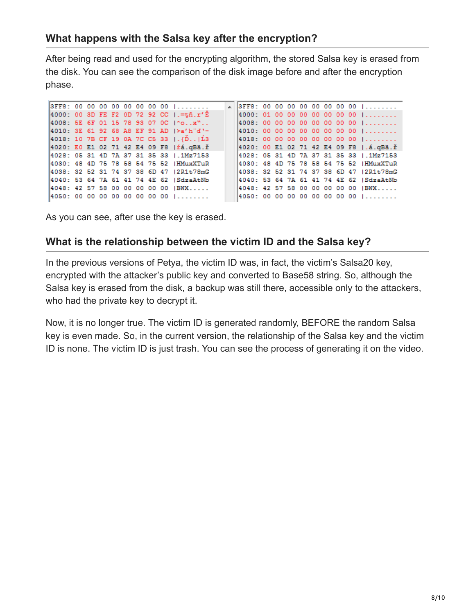#### **What happens with the Salsa key after the encryption?**

After being read and used for the encrypting algorithm, the stored Salsa key is erased from the disk. You can see the comparison of the disk image before and after the encryption phase.

|  |  |  |  |  | 3FF8: 00 00 00 00 00 00 00 00 1                                     |  |  |  |  |  | $\angle$ 3FF8: 00 00 00 00 00 00 00 00 00 |
|--|--|--|--|--|---------------------------------------------------------------------|--|--|--|--|--|-------------------------------------------|
|  |  |  |  |  | 4000: 00 3D FE F2 0D 72 92 CC $\left  . = \frac{t}{h} \right  r'$ E |  |  |  |  |  | 4000: 010000000000000001                  |
|  |  |  |  |  | 4008: 5E 6F 01 15 78 93 07 0C 1 0. x"                               |  |  |  |  |  | $14008: 00 00 00 00 00 00 00 00 1$        |
|  |  |  |  |  | 4010: 3E 61 92 68 A8 EF 91 AD  >a'h"d'-                             |  |  |  |  |  | 4010: 000000000000000000                  |
|  |  |  |  |  | $ 4018: 107BCF190A7CCS33 $ . $ 1.63$ .                              |  |  |  |  |  | $4018: 00 00 00 00 00 00 00 00 01$        |
|  |  |  |  |  | 4020: E0 E1 02 71 42 E4 09 F8   rá. qBä. ř                          |  |  |  |  |  | 4020: 00 E1 02 71 42 E4 09 F8   .á.qBä.ř  |
|  |  |  |  |  | 4028: 05 31 4D 7A 37 31 35 33 1.1Mz7153                             |  |  |  |  |  | 4028: 05 31 4D 7A 37 31 35 33 1.1Mz7153   |
|  |  |  |  |  | 4030: 48 4D 75 78 58 54 75 52 HMuxXTuR                              |  |  |  |  |  | 4030: 48 4D 75 78 58 54 75 52 HMuxXTuR    |
|  |  |  |  |  | 4038: 32 52 31 74 37 38 6D 47 12R1t78mG                             |  |  |  |  |  | 4038: 32 52 31 74 37 38 6D 47 12R1t78mG   |
|  |  |  |  |  | 4040: 53 64 7A 61 41 74 4E 62   SdzaAtNb                            |  |  |  |  |  | 4040: 53 64 7A 61 41 74 4E 62   SdzaAtNb  |
|  |  |  |  |  | 4048: 42 57 58 00 00 00 00 00 IBWX                                  |  |  |  |  |  | 4048: 42 57 58 00 00 00 00 00 IBWX        |
|  |  |  |  |  | 14050: 00 00 00 00 00 00 00 00 1                                    |  |  |  |  |  | 4050: 00 00 00 00 00 00 00 00 1           |
|  |  |  |  |  |                                                                     |  |  |  |  |  |                                           |

As you can see, after use the key is erased.

#### **What is the relationship between the victim ID and the Salsa key?**

In the previous versions of Petya, the victim ID was, in fact, the victim's Salsa20 key, encrypted with the attacker's public key and converted to Base58 string. So, although the Salsa key is erased from the disk, a backup was still there, accessible only to the attackers, who had the private key to decrypt it.

Now, it is no longer true. The victim ID is generated randomly, BEFORE the random Salsa key is even made. So, in the current version, the relationship of the Salsa key and the victim ID is none. The victim ID is just trash. You can see the process of generating it on the video.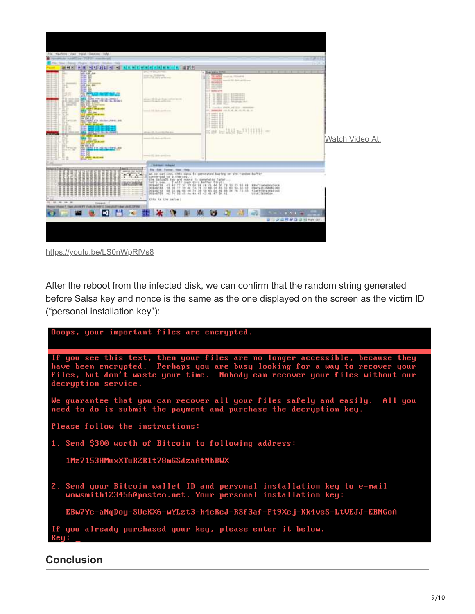

<https://youtu.be/LS0nWpRfVs8>

After the reboot from the infected disk, we can confirm that the random string generated before Salsa key and nonce is the same as the one displayed on the screen as the victim ID ("personal installation key"):



**Conclusion**